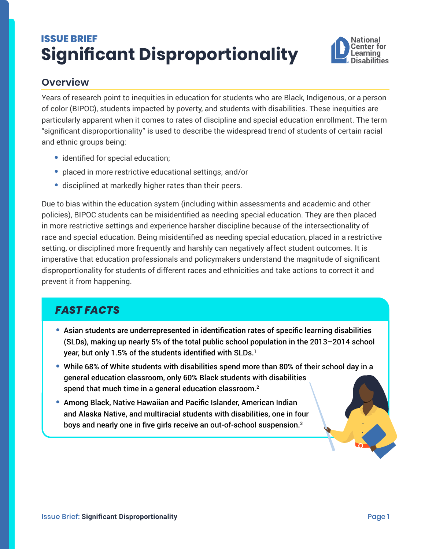# <span id="page-0-0"></span>**ISSUE BRIEF Significant Disproportionality**



## **Overview**

Years of research point to inequities in education for students who are Black, Indigenous, or a person of color (BIPOC), students impacted by poverty, and students with disabilities. These inequities are particularly apparent when it comes to rates of discipline and special education enrollment. The term "significant disproportionality" is used to describe the widespread trend of students of certain racial and ethnic groups being:

- **•** identified for special education;
- **•** placed in more restrictive educational settings; and/or
- **•** disciplined at markedly higher rates than their peers.

Due to bias within the education system (including within assessments and academic and other policies), BIPOC students can be misidentified as needing special education. They are then placed in more restrictive settings and experience harsher discipline because of the intersectionality of race and special education. Being misidentified as needing special education, placed in a restrictive setting, or disciplined more frequently and harshly can negatively affect student outcomes. It is imperative that education professionals and policymakers understand the magnitude of significant disproportionality for students of different races and ethnicities and take actions to correct it and prevent it from happening.

## *FAST FACTS*

- **•** Asian students are underrepresented in identification rates of specific learning disabilities (SLDs), making up nearly 5% of the total public school population in the 2013–2014 school year, but only [1](#page-1-0).5% of the students identified with SLDs.<sup>1</sup>
- **•** While 68% of White students with disabilities spend more than 80% of their school day in a general education classroom, only 60% Black students with disabilities spend that much time in a general education classroom.<sup>[2](#page-1-0)</sup>
- **•** Among Black, Native Hawaiian and Pacific Islander, American Indian and Alaska Native, and multiracial students with disabilities, one in four boys and nearly one in five girls receive an out-of-school suspension.<sup>[3](#page-1-0)</sup>